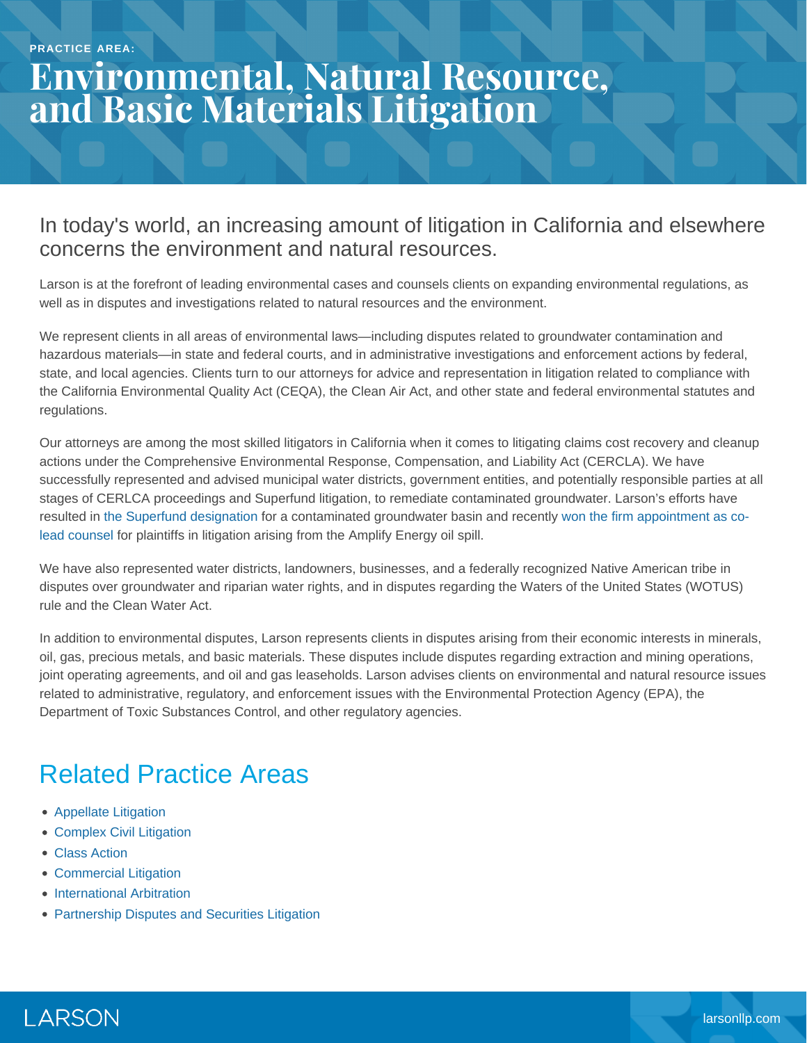# **Environmental, Natural Resource, and Basic Materials Litigation**

#### In today's world, an increasing amount of litigation in California and elsewhere concerns the environment and natural resources.

Larson is at the forefront of leading environmental cases and counsels clients on expanding environmental regulations, as well as in disputes and investigations related to natural resources and the environment.

We represent clients in all areas of environmental laws—including disputes related to groundwater contamination and hazardous materials—in state and federal courts, and in administrative investigations and enforcement actions by federal, state, and local agencies. Clients turn to our attorneys for advice and representation in litigation related to compliance with the California Environmental Quality Act (CEQA), the Clean Air Act, and other state and federal environmental statutes and regulations.

Our attorneys are among the most skilled litigators in California when it comes to litigating claims cost recovery and cleanup actions under the Comprehensive Environmental Response, Compensation, and Liability Act (CERCLA). We have successfully represented and advised municipal water districts, government entities, and potentially responsible parties at all stages of CERLCA proceedings and Superfund litigation, to remediate contaminated groundwater. Larson's efforts have resulted in [the Superfund designation](https://www.larsonllp.com/case-studies/third-case-study/) for a contaminated groundwater basin and recently [won the firm appointment as co](https://www.larsonllp.com/firm-selected-to-co-lead-oil-spill-class-actions/)[lead counsel](https://www.larsonllp.com/firm-selected-to-co-lead-oil-spill-class-actions/) for plaintiffs in litigation arising from the Amplify Energy oil spill.

We have also represented water districts, landowners, businesses, and a federally recognized Native American tribe in disputes over groundwater and riparian water rights, and in disputes regarding the Waters of the United States (WOTUS) rule and the Clean Water Act.

In addition to environmental disputes, Larson represents clients in disputes arising from their economic interests in minerals, oil, gas, precious metals, and basic materials. These disputes include disputes regarding extraction and mining operations, joint operating agreements, and oil and gas leaseholds. Larson advises clients on environmental and natural resource issues related to administrative, regulatory, and enforcement issues with the Environmental Protection Agency (EPA), the Department of Toxic Substances Control, and other regulatory agencies.

### Related Practice Areas

- [Appellate Litigation](https://www.larsonllp.com/practice-areas/appellate-litigation/)
- [Complex Civil Litigation](https://www.larsonllp.com/practice-areas/complex-civil-litigation/)
- [Class Action](https://www.larsonllp.com/practice-areas/complex-civil-litigation/class-action/)
- [Commercial Litigation](https://www.larsonllp.com/practice-areas/complex-civil-litigation/commercial-litigation/)
- [International Arbitration](https://www.larsonllp.com/practice-areas/complex-civil-litigation/international-arbitration/)
- **[Partnership Disputes and Securities Litigation](https://www.larsonllp.com/practice-areas/complex-civil-litigation/partnership-disputes-and-securities-litigation/)**

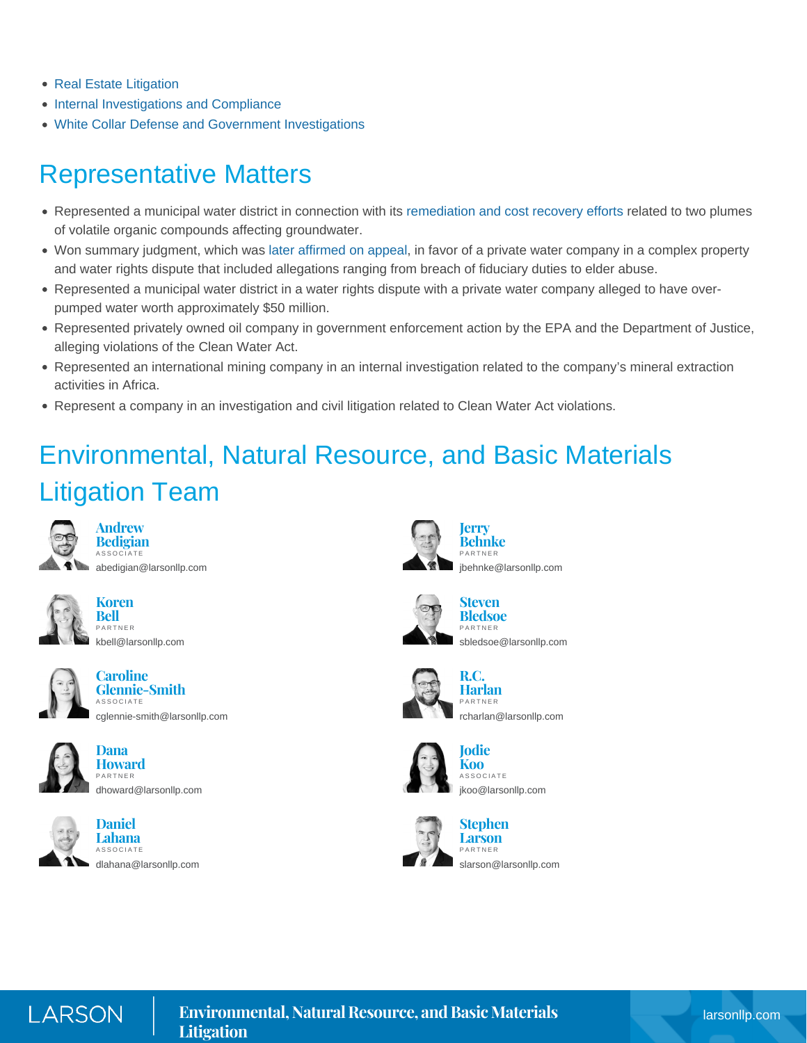- [Real Estate Litigation](https://www.larsonllp.com/practice-areas/complex-civil-litigation/real-estate-litigation/)
- [Internal Investigations and Compliance](https://www.larsonllp.com/practice-areas/internal-investigations-and-compliance/)
- [White Collar Defense and Government Investigations](https://www.larsonllp.com/practice-areas/white-collar-defense-and-government-investigations/)

### Representative Matters

- Represented a municipal water district in connection with its [remediation and cost recovery efforts](https://www.larsonllp.com/case-studies/achieving-epa-superfund-status-for-orange-county-groundwater-cleanup-project/) related to two plumes of volatile organic compounds affecting groundwater.
- Won summary judgment, which was [later affirmed on appeal](https://www.larsonllp.com/firms-summary-judgment-win-affirmed-on-appeal/), in favor of a private water company in a complex property and water rights dispute that included allegations ranging from breach of fiduciary duties to elder abuse.
- Represented a municipal water district in a water rights dispute with a private water company alleged to have overpumped water worth approximately \$50 million.
- Represented privately owned oil company in government enforcement action by the EPA and the Department of Justice, alleging violations of the Clean Water Act.
- Represented an international mining company in an internal investigation related to the company's mineral extraction activities in Africa.
- Represent a company in an investigation and civil litigation related to Clean Water Act violations.

## Environmental, Natural Resource, and Basic Materials Litigation Team



**Andrew Bedigian** ASSOCIATE [abedigian@larsonllp.com](mailto:abedigian@larsonllp.com)



**Koren Bell** PARTNER [kbell@larsonllp.com](mailto:kbell@larsonllp.com)



**Caroline Glennie-Smith** ASSOCIATE [cglennie-smith@larsonllp.com](mailto:cglennie-smith@larsonllp.com)







**Daniel Lahana** ASSOCIATE [dlahana@larsonllp.com](mailto:dlahana@larsonllp.com)



**Behnke** PARTNER [jbehnke@larsonllp.com](mailto:jbehnke@larsonllp.com)



**Steven Bledsoe** PARTNER [sbledsoe@larsonllp.com](mailto:sbledsoe@larsonllp.com)



**R.C. Harlan** PARTNER [rcharlan@larsonllp.com](mailto:rcharlan@larsonllp.com)







**Larson** PARTNER [slarson@larsonllp.com](mailto:slarson@larsonllp.com)